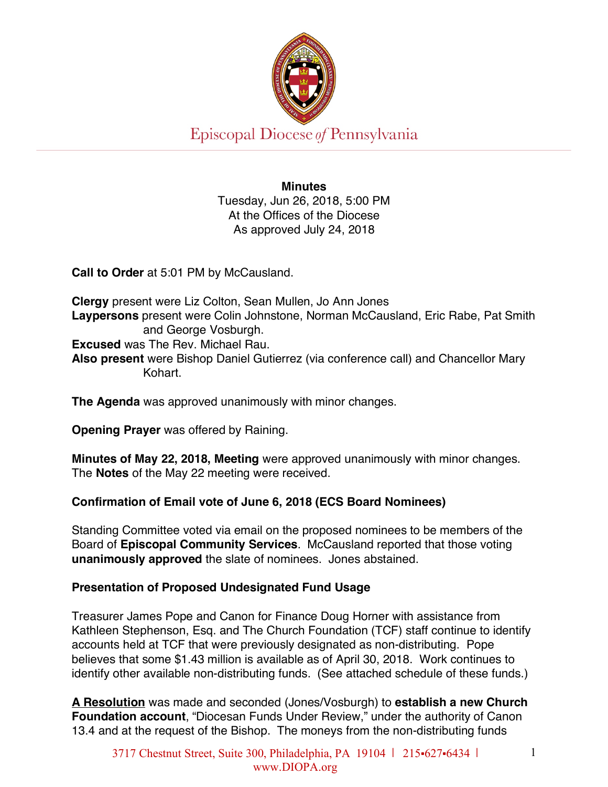

**Minutes** Tuesday, Jun 26, 2018, 5:00 PM At the Offices of the Diocese As approved July 24, 2018

**Call to Order** at 5:01 PM by McCausland.

**Clergy** present were Liz Colton, Sean Mullen, Jo Ann Jones **Laypersons** present were Colin Johnstone, Norman McCausland, Eric Rabe, Pat Smith and George Vosburgh. **Excused** was The Rev. Michael Rau. **Also present** were Bishop Daniel Gutierrez (via conference call) and Chancellor Mary Kohart.

**The Agenda** was approved unanimously with minor changes.

**Opening Prayer** was offered by Raining.

**Minutes of May 22, 2018, Meeting** were approved unanimously with minor changes. The **Notes** of the May 22 meeting were received.

# **Confirmation of Email vote of June 6, 2018 (ECS Board Nominees)**

Standing Committee voted via email on the proposed nominees to be members of the Board of **Episcopal Community Services**. McCausland reported that those voting **unanimously approved** the slate of nominees. Jones abstained.

### **Presentation of Proposed Undesignated Fund Usage**

Treasurer James Pope and Canon for Finance Doug Horner with assistance from Kathleen Stephenson, Esq. and The Church Foundation (TCF) staff continue to identify accounts held at TCF that were previously designated as non-distributing. Pope believes that some \$1.43 million is available as of April 30, 2018. Work continues to identify other available non-distributing funds. (See attached schedule of these funds.)

**A Resolution** was made and seconded (Jones/Vosburgh) to **establish a new Church Foundation account**, "Diocesan Funds Under Review," under the authority of Canon 13.4 and at the request of the Bishop. The moneys from the non-distributing funds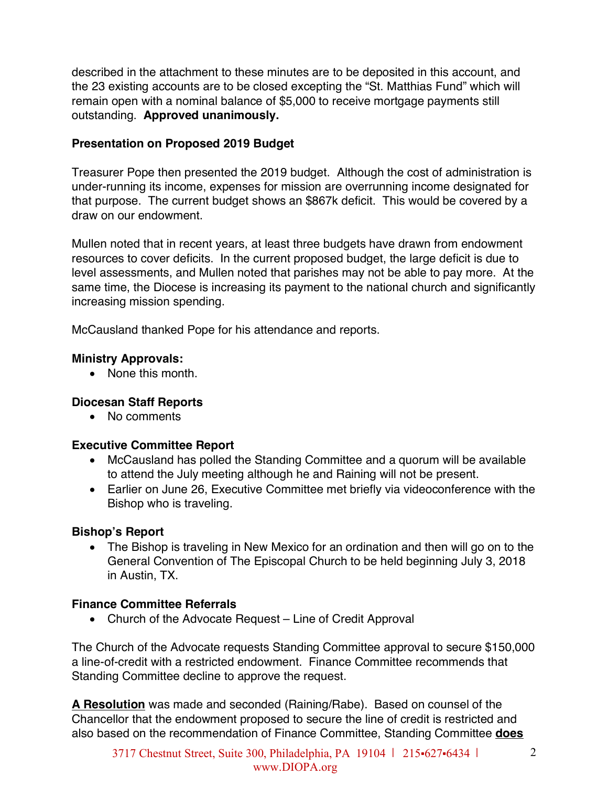described in the attachment to these minutes are to be deposited in this account, and the 23 existing accounts are to be closed excepting the "St. Matthias Fund" which will remain open with a nominal balance of \$5,000 to receive mortgage payments still outstanding. **Approved unanimously.** 

## **Presentation on Proposed 2019 Budget**

Treasurer Pope then presented the 2019 budget. Although the cost of administration is under-running its income, expenses for mission are overrunning income designated for that purpose. The current budget shows an \$867k deficit. This would be covered by a draw on our endowment.

Mullen noted that in recent years, at least three budgets have drawn from endowment resources to cover deficits. In the current proposed budget, the large deficit is due to level assessments, and Mullen noted that parishes may not be able to pay more. At the same time, the Diocese is increasing its payment to the national church and significantly increasing mission spending.

McCausland thanked Pope for his attendance and reports.

## **Ministry Approvals:**

• None this month

# **Diocesan Staff Reports**

• No comments

### **Executive Committee Report**

- McCausland has polled the Standing Committee and a quorum will be available to attend the July meeting although he and Raining will not be present.
- Earlier on June 26, Executive Committee met briefly via videoconference with the Bishop who is traveling.

# **Bishop's Report**

• The Bishop is traveling in New Mexico for an ordination and then will go on to the General Convention of The Episcopal Church to be held beginning July 3, 2018 in Austin, TX.

# **Finance Committee Referrals**

• Church of the Advocate Request – Line of Credit Approval

The Church of the Advocate requests Standing Committee approval to secure \$150,000 a line-of-credit with a restricted endowment. Finance Committee recommends that Standing Committee decline to approve the request.

**A Resolution** was made and seconded (Raining/Rabe). Based on counsel of the Chancellor that the endowment proposed to secure the line of credit is restricted and also based on the recommendation of Finance Committee, Standing Committee **does**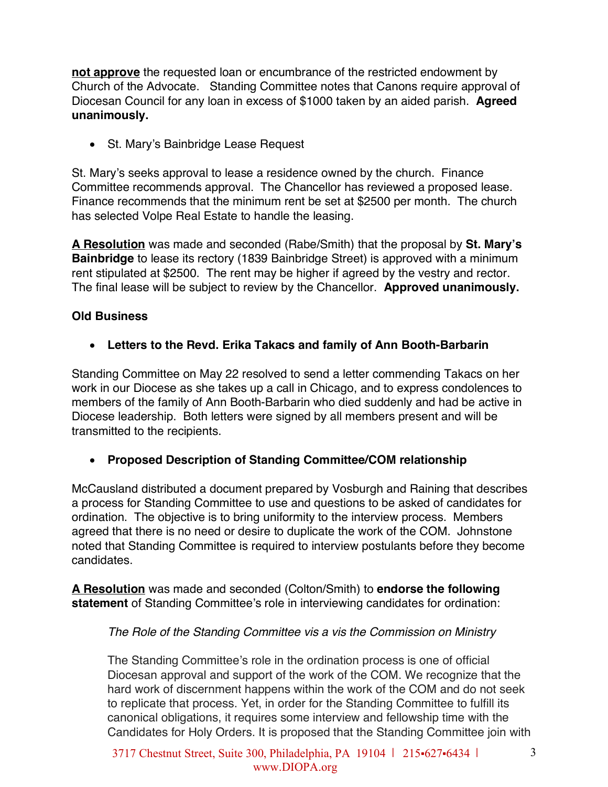**not approve** the requested loan or encumbrance of the restricted endowment by Church of the Advocate. Standing Committee notes that Canons require approval of Diocesan Council for any loan in excess of \$1000 taken by an aided parish. **Agreed unanimously.** 

• St. Mary's Bainbridge Lease Request

St. Mary's seeks approval to lease a residence owned by the church. Finance Committee recommends approval. The Chancellor has reviewed a proposed lease. Finance recommends that the minimum rent be set at \$2500 per month. The church has selected Volpe Real Estate to handle the leasing.

**A Resolution** was made and seconded (Rabe/Smith) that the proposal by **St. Mary's Bainbridge** to lease its rectory (1839 Bainbridge Street) is approved with a minimum rent stipulated at \$2500. The rent may be higher if agreed by the vestry and rector. The final lease will be subject to review by the Chancellor. **Approved unanimously.** 

### **Old Business**

• **Letters to the Revd. Erika Takacs and family of Ann Booth-Barbarin** 

Standing Committee on May 22 resolved to send a letter commending Takacs on her work in our Diocese as she takes up a call in Chicago, and to express condolences to members of the family of Ann Booth-Barbarin who died suddenly and had be active in Diocese leadership. Both letters were signed by all members present and will be transmitted to the recipients.

#### • **Proposed Description of Standing Committee/COM relationship**

McCausland distributed a document prepared by Vosburgh and Raining that describes a process for Standing Committee to use and questions to be asked of candidates for ordination. The objective is to bring uniformity to the interview process. Members agreed that there is no need or desire to duplicate the work of the COM. Johnstone noted that Standing Committee is required to interview postulants before they become candidates.

**A Resolution** was made and seconded (Colton/Smith) to **endorse the following statement** of Standing Committee's role in interviewing candidates for ordination:

#### *The Role of the Standing Committee vis a vis the Commission on Ministry*

The Standing Committee's role in the ordination process is one of official Diocesan approval and support of the work of the COM. We recognize that the hard work of discernment happens within the work of the COM and do not seek to replicate that process. Yet, in order for the Standing Committee to fulfill its canonical obligations, it requires some interview and fellowship time with the Candidates for Holy Orders. It is proposed that the Standing Committee join with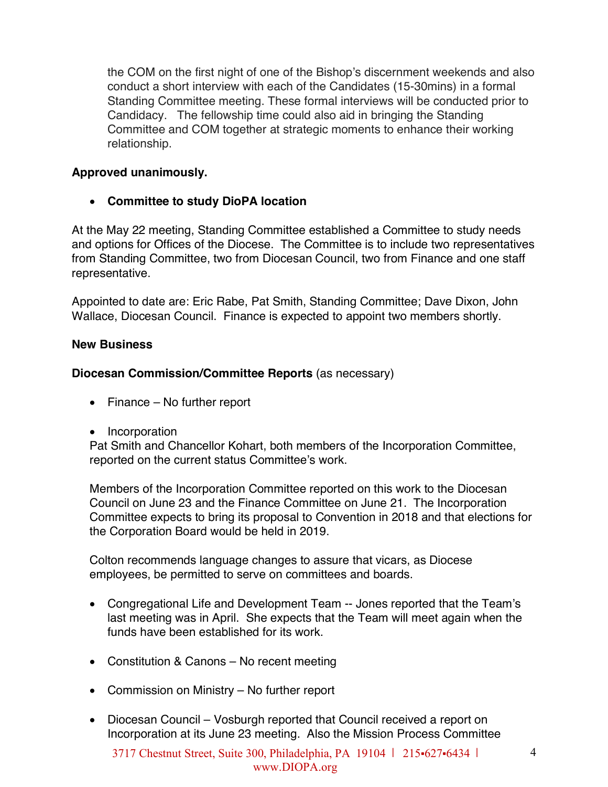the COM on the first night of one of the Bishop's discernment weekends and also conduct a short interview with each of the Candidates (15-30mins) in a formal Standing Committee meeting. These formal interviews will be conducted prior to Candidacy. The fellowship time could also aid in bringing the Standing Committee and COM together at strategic moments to enhance their working relationship.

### **Approved unanimously.**

• **Committee to study DioPA location**

At the May 22 meeting, Standing Committee established a Committee to study needs and options for Offices of the Diocese. The Committee is to include two representatives from Standing Committee, two from Diocesan Council, two from Finance and one staff representative.

Appointed to date are: Eric Rabe, Pat Smith, Standing Committee; Dave Dixon, John Wallace, Diocesan Council. Finance is expected to appoint two members shortly.

#### **New Business**

#### **Diocesan Commission/Committee Reports** (as necessary)

- Finance No further report
- Incorporation

Pat Smith and Chancellor Kohart, both members of the Incorporation Committee, reported on the current status Committee's work.

Members of the Incorporation Committee reported on this work to the Diocesan Council on June 23 and the Finance Committee on June 21. The Incorporation Committee expects to bring its proposal to Convention in 2018 and that elections for the Corporation Board would be held in 2019.

Colton recommends language changes to assure that vicars, as Diocese employees, be permitted to serve on committees and boards.

- Congregational Life and Development Team -- Jones reported that the Team's last meeting was in April. She expects that the Team will meet again when the funds have been established for its work.
- Constitution & Canons No recent meeting
- Commission on Ministry No further report
- Diocesan Council Vosburgh reported that Council received a report on Incorporation at its June 23 meeting. Also the Mission Process Committee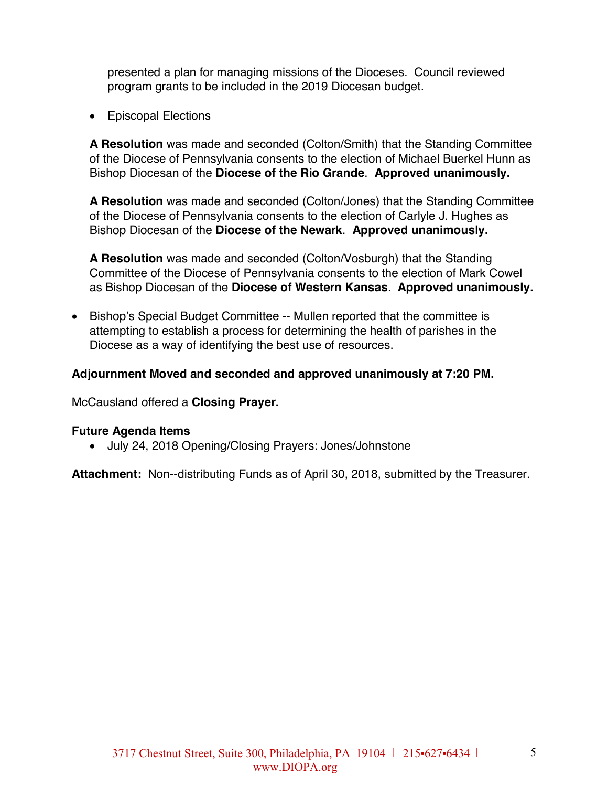presented a plan for managing missions of the Dioceses. Council reviewed program grants to be included in the 2019 Diocesan budget.

• Episcopal Elections

**A Resolution** was made and seconded (Colton/Smith) that the Standing Committee of the Diocese of Pennsylvania consents to the election of Michael Buerkel Hunn as Bishop Diocesan of the **Diocese of the Rio Grande**. **Approved unanimously.** 

**A Resolution** was made and seconded (Colton/Jones) that the Standing Committee of the Diocese of Pennsylvania consents to the election of Carlyle J. Hughes as Bishop Diocesan of the **Diocese of the Newark**. **Approved unanimously.** 

**A Resolution** was made and seconded (Colton/Vosburgh) that the Standing Committee of the Diocese of Pennsylvania consents to the election of Mark Cowel as Bishop Diocesan of the **Diocese of Western Kansas**. **Approved unanimously.** 

• Bishop's Special Budget Committee -- Mullen reported that the committee is attempting to establish a process for determining the health of parishes in the Diocese as a way of identifying the best use of resources.

#### **Adjournment Moved and seconded and approved unanimously at 7:20 PM.**

McCausland offered a **Closing Prayer.**

#### **Future Agenda Items**

• July 24, 2018 Opening/Closing Prayers: Jones/Johnstone

**Attachment:** Non--distributing Funds as of April 30, 2018, submitted by the Treasurer.